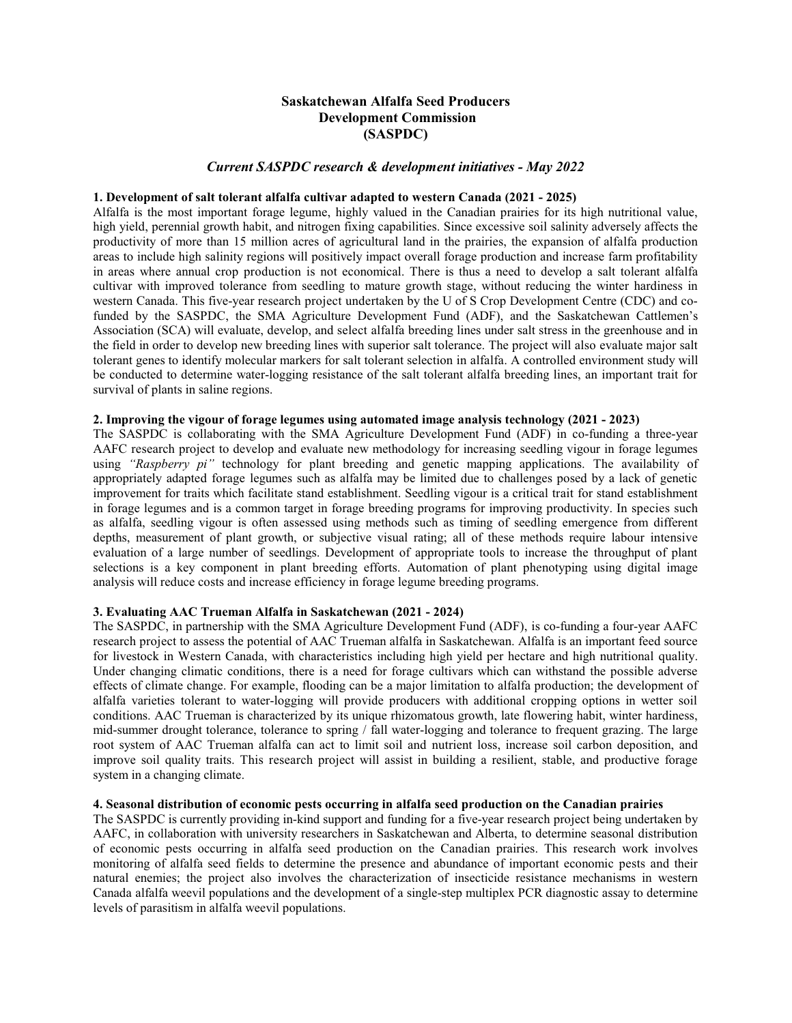# **Saskatchewan Alfalfa Seed Producers Development Commission (SASPDC)**

### *Current SASPDC research & development initiatives - May 2022*

#### **1. Development of salt tolerant alfalfa cultivar adapted to western Canada (2021 - 2025)**

Alfalfa is the most important forage legume, highly valued in the Canadian prairies for its high nutritional value, high yield, perennial growth habit, and nitrogen fixing capabilities. Since excessive soil salinity adversely affects the productivity of more than 15 million acres of agricultural land in the prairies, the expansion of alfalfa production areas to include high salinity regions will positively impact overall forage production and increase farm profitability in areas where annual crop production is not economical. There is thus a need to develop a salt tolerant alfalfa cultivar with improved tolerance from seedling to mature growth stage, without reducing the winter hardiness in western Canada. This five-year research project undertaken by the U of S Crop Development Centre (CDC) and cofunded by the SASPDC, the SMA Agriculture Development Fund (ADF), and the Saskatchewan Cattlemen's Association (SCA) will evaluate, develop, and select alfalfa breeding lines under salt stress in the greenhouse and in the field in order to develop new breeding lines with superior salt tolerance. The project will also evaluate major salt tolerant genes to identify molecular markers for salt tolerant selection in alfalfa. A controlled environment study will be conducted to determine water-logging resistance of the salt tolerant alfalfa breeding lines, an important trait for survival of plants in saline regions.

### **2. Improving the vigour of forage legumes using automated image analysis technology (2021 - 2023)**

The SASPDC is collaborating with the SMA Agriculture Development Fund (ADF) in co-funding a three-year AAFC research project to develop and evaluate new methodology for increasing seedling vigour in forage legumes using *"Raspberry pi"* technology for plant breeding and genetic mapping applications. The availability of appropriately adapted forage legumes such as alfalfa may be limited due to challenges posed by a lack of genetic improvement for traits which facilitate stand establishment. Seedling vigour is a critical trait for stand establishment in forage legumes and is a common target in forage breeding programs for improving productivity. In species such as alfalfa, seedling vigour is often assessed using methods such as timing of seedling emergence from different depths, measurement of plant growth, or subjective visual rating; all of these methods require labour intensive evaluation of a large number of seedlings. Development of appropriate tools to increase the throughput of plant selections is a key component in plant breeding efforts. Automation of plant phenotyping using digital image analysis will reduce costs and increase efficiency in forage legume breeding programs.

# **3. Evaluating AAC Trueman Alfalfa in Saskatchewan (2021 - 2024)**

The SASPDC, in partnership with the SMA Agriculture Development Fund (ADF), is co-funding a four-year AAFC research project to assess the potential of AAC Trueman alfalfa in Saskatchewan. Alfalfa is an important feed source for livestock in Western Canada, with characteristics including high yield per hectare and high nutritional quality. Under changing climatic conditions, there is a need for forage cultivars which can withstand the possible adverse effects of climate change. For example, flooding can be a major limitation to alfalfa production; the development of alfalfa varieties tolerant to water-logging will provide producers with additional cropping options in wetter soil conditions. AAC Trueman is characterized by its unique rhizomatous growth, late flowering habit, winter hardiness, mid-summer drought tolerance, tolerance to spring / fall water-logging and tolerance to frequent grazing. The large root system of AAC Trueman alfalfa can act to limit soil and nutrient loss, increase soil carbon deposition, and improve soil quality traits. This research project will assist in building a resilient, stable, and productive forage system in a changing climate.

#### **4. Seasonal distribution of economic pests occurring in alfalfa seed production on the Canadian prairies**

The SASPDC is currently providing in-kind support and funding for a five-year research project being undertaken by AAFC, in collaboration with university researchers in Saskatchewan and Alberta, to determine seasonal distribution of economic pests occurring in alfalfa seed production on the Canadian prairies. This research work involves monitoring of alfalfa seed fields to determine the presence and abundance of important economic pests and their natural enemies; the project also involves the characterization of insecticide resistance mechanisms in western Canada alfalfa weevil populations and the development of a single-step multiplex PCR diagnostic assay to determine levels of parasitism in alfalfa weevil populations.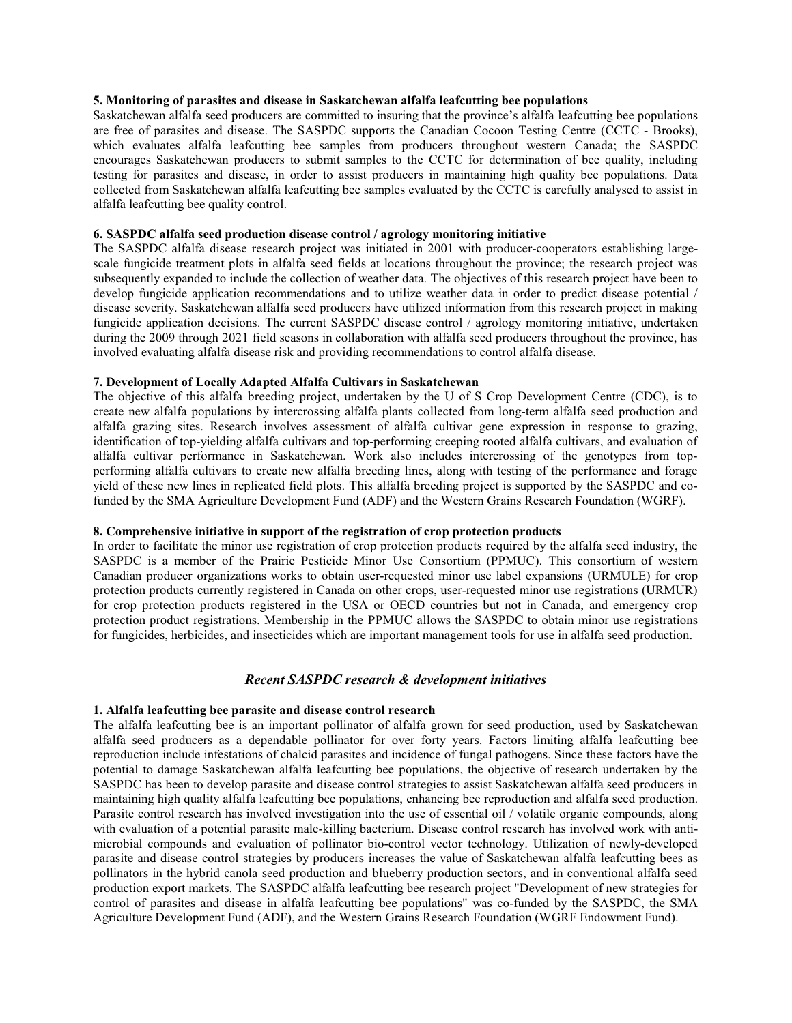# **5. Monitoring of parasites and disease in Saskatchewan alfalfa leafcutting bee populations**

Saskatchewan alfalfa seed producers are committed to insuring that the province's alfalfa leafcutting bee populations are free of parasites and disease. The SASPDC supports the Canadian Cocoon Testing Centre (CCTC - Brooks), which evaluates alfalfa leafcutting bee samples from producers throughout western Canada; the SASPDC encourages Saskatchewan producers to submit samples to the CCTC for determination of bee quality, including testing for parasites and disease, in order to assist producers in maintaining high quality bee populations. Data collected from Saskatchewan alfalfa leafcutting bee samples evaluated by the CCTC is carefully analysed to assist in alfalfa leafcutting bee quality control.

# **6. SASPDC alfalfa seed production disease control / agrology monitoring initiative**

The SASPDC alfalfa disease research project was initiated in 2001 with producer-cooperators establishing largescale fungicide treatment plots in alfalfa seed fields at locations throughout the province; the research project was subsequently expanded to include the collection of weather data. The objectives of this research project have been to develop fungicide application recommendations and to utilize weather data in order to predict disease potential / disease severity. Saskatchewan alfalfa seed producers have utilized information from this research project in making fungicide application decisions. The current SASPDC disease control / agrology monitoring initiative, undertaken during the 2009 through 2021 field seasons in collaboration with alfalfa seed producers throughout the province, has involved evaluating alfalfa disease risk and providing recommendations to control alfalfa disease.

### **7. Development of Locally Adapted Alfalfa Cultivars in Saskatchewan**

The objective of this alfalfa breeding project, undertaken by the U of S Crop Development Centre (CDC), is to create new alfalfa populations by intercrossing alfalfa plants collected from long-term alfalfa seed production and alfalfa grazing sites. Research involves assessment of alfalfa cultivar gene expression in response to grazing, identification of top-yielding alfalfa cultivars and top-performing creeping rooted alfalfa cultivars, and evaluation of alfalfa cultivar performance in Saskatchewan. Work also includes intercrossing of the genotypes from topperforming alfalfa cultivars to create new alfalfa breeding lines, along with testing of the performance and forage yield of these new lines in replicated field plots. This alfalfa breeding project is supported by the SASPDC and cofunded by the SMA Agriculture Development Fund (ADF) and the Western Grains Research Foundation (WGRF).

# **8. Comprehensive initiative in support of the registration of crop protection products**

In order to facilitate the minor use registration of crop protection products required by the alfalfa seed industry, the SASPDC is a member of the Prairie Pesticide Minor Use Consortium (PPMUC). This consortium of western Canadian producer organizations works to obtain user-requested minor use label expansions (URMULE) for crop protection products currently registered in Canada on other crops, user-requested minor use registrations (URMUR) for crop protection products registered in the USA or OECD countries but not in Canada, and emergency crop protection product registrations. Membership in the PPMUC allows the SASPDC to obtain minor use registrations for fungicides, herbicides, and insecticides which are important management tools for use in alfalfa seed production.

### *Recent SASPDC research & development initiatives*

### **1. Alfalfa leafcutting bee parasite and disease control research**

The alfalfa leafcutting bee is an important pollinator of alfalfa grown for seed production, used by Saskatchewan alfalfa seed producers as a dependable pollinator for over forty years. Factors limiting alfalfa leafcutting bee reproduction include infestations of chalcid parasites and incidence of fungal pathogens. Since these factors have the potential to damage Saskatchewan alfalfa leafcutting bee populations, the objective of research undertaken by the SASPDC has been to develop parasite and disease control strategies to assist Saskatchewan alfalfa seed producers in maintaining high quality alfalfa leafcutting bee populations, enhancing bee reproduction and alfalfa seed production. Parasite control research has involved investigation into the use of essential oil / volatile organic compounds, along with evaluation of a potential parasite male-killing bacterium. Disease control research has involved work with antimicrobial compounds and evaluation of pollinator bio-control vector technology. Utilization of newly-developed parasite and disease control strategies by producers increases the value of Saskatchewan alfalfa leafcutting bees as pollinators in the hybrid canola seed production and blueberry production sectors, and in conventional alfalfa seed production export markets. The SASPDC alfalfa leafcutting bee research project "Development of new strategies for control of parasites and disease in alfalfa leafcutting bee populations" was co-funded by the SASPDC, the SMA Agriculture Development Fund (ADF), and the Western Grains Research Foundation (WGRF Endowment Fund).